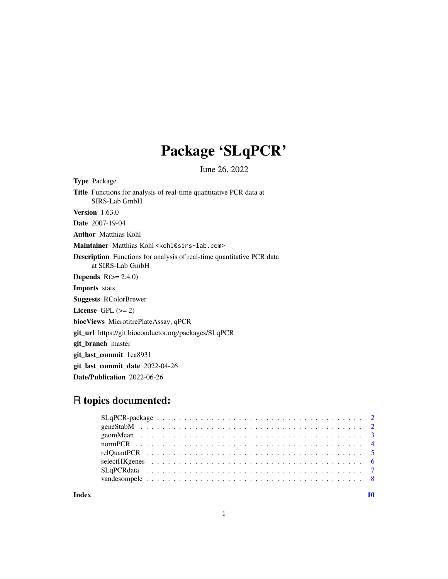## Package 'SLqPCR'

June 26, 2022

Type Package Title Functions for analysis of real-time quantitative PCR data at SIRS-Lab GmbH Version 1.63.0 Date 2007-19-04 Author Matthias Kohl Maintainer Matthias Kohl <kohl@sirs-lab.com> Description Functions for analysis of real-time quantitative PCR data at SIRS-Lab GmbH **Depends**  $R(>= 2.4.0)$ Imports stats Suggests RColorBrewer License GPL  $(>= 2)$ biocViews MicrotitrePlateAssay, qPCR git\_url https://git.bioconductor.org/packages/SLqPCR git\_branch master git\_last\_commit 1ea8931 git\_last\_commit\_date 2022-04-26

Date/Publication 2022-06-26

### R topics documented:

 $\blacksquare$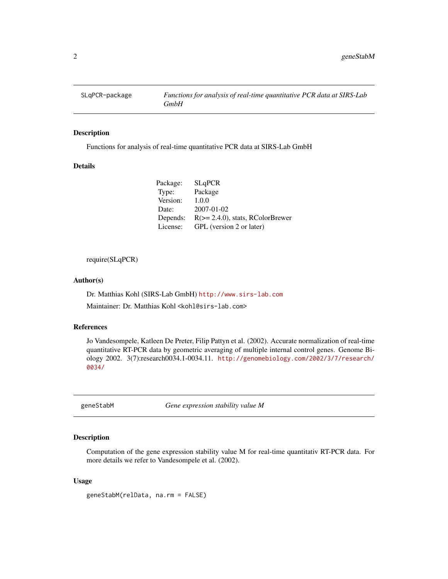<span id="page-1-0"></span>

#### Description

Functions for analysis of real-time quantitative PCR data at SIRS-Lab GmbH

#### Details

| Package: | <b>SLqPCR</b>                       |
|----------|-------------------------------------|
| Type:    | Package                             |
| Version: | 1.0.0                               |
| Date:    | $2007 - 01 - 02$                    |
| Depends: | $R(>= 2.4.0)$ , stats, RColorBrewer |
| License: | GPL (version 2 or later)            |

require(SLqPCR)

#### Author(s)

Dr. Matthias Kohl (SIRS-Lab GmbH) <http://www.sirs-lab.com>

Maintainer: Dr. Matthias Kohl <kohl@sirs-lab.com>

#### References

Jo Vandesompele, Katleen De Preter, Filip Pattyn et al. (2002). Accurate normalization of real-time quantitative RT-PCR data by geometric averaging of multiple internal control genes. Genome Biology 2002. 3(7):research0034.1-0034.11. [http://genomebiology.com/2002/3/7/research/](http://genomebiology.com/2002/3/7/research/0034/) [0034/](http://genomebiology.com/2002/3/7/research/0034/)

geneStabM *Gene expression stability value M*

#### Description

Computation of the gene expression stability value M for real-time quantitativ RT-PCR data. For more details we refer to Vandesompele et al. (2002).

#### Usage

geneStabM(relData, na.rm = FALSE)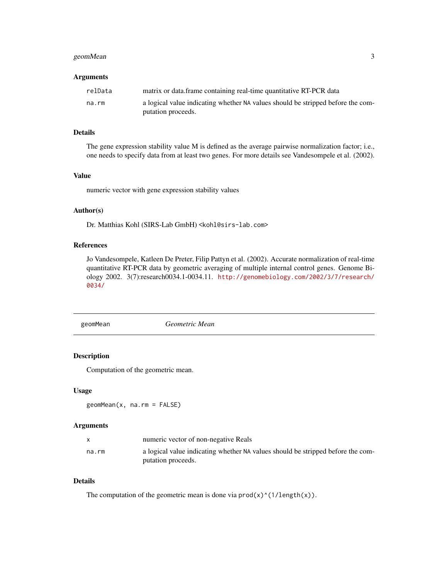#### <span id="page-2-0"></span>geomMean 3

#### **Arguments**

| relData | matrix or data.frame containing real-time quantitative RT-PCR data                                    |
|---------|-------------------------------------------------------------------------------------------------------|
| na.rm   | a logical value indicating whether NA values should be stripped before the com-<br>putation proceeds. |
|         |                                                                                                       |

#### Details

The gene expression stability value M is defined as the average pairwise normalization factor; i.e., one needs to specify data from at least two genes. For more details see Vandesompele et al. (2002).

#### Value

numeric vector with gene expression stability values

#### Author(s)

Dr. Matthias Kohl (SIRS-Lab GmbH) <kohl@sirs-lab.com>

#### References

Jo Vandesompele, Katleen De Preter, Filip Pattyn et al. (2002). Accurate normalization of real-time quantitative RT-PCR data by geometric averaging of multiple internal control genes. Genome Biology 2002. 3(7):research0034.1-0034.11. [http://genomebiology.com/2002/3/7/research/](http://genomebiology.com/2002/3/7/research/0034/) [0034/](http://genomebiology.com/2002/3/7/research/0034/)

geomMean *Geometric Mean*

#### Description

Computation of the geometric mean.

#### Usage

```
geomMean(x, na.rm = FALSE)
```
#### Arguments

|       | numeric vector of non-negative Reals                                                                  |
|-------|-------------------------------------------------------------------------------------------------------|
| na.rm | a logical value indicating whether NA values should be stripped before the com-<br>putation proceeds. |

#### Details

The computation of the geometric mean is done via  $\text{prod}(x)$ <sup> $\land$ </sup>(1/length(x)).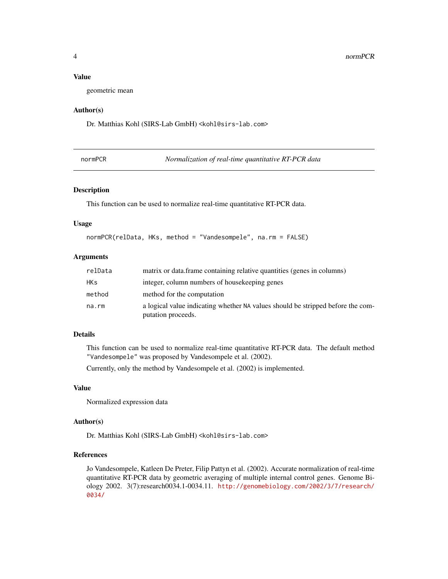#### Value

geometric mean

#### Author(s)

Dr. Matthias Kohl (SIRS-Lab GmbH) <kohl@sirs-lab.com>

| normPCR |  | Normalization of real-time quantitative RT-PCR data |
|---------|--|-----------------------------------------------------|
|---------|--|-----------------------------------------------------|

#### Description

This function can be used to normalize real-time quantitative RT-PCR data.

#### Usage

```
normPCR(relData, HKs, method = "Vandesompele", na.rm = FALSE)
```
#### Arguments

| relData    | matrix or data. frame containing relative quantities (genes in columns)                               |
|------------|-------------------------------------------------------------------------------------------------------|
| <b>HKs</b> | integer, column numbers of house keeping genes                                                        |
| method     | method for the computation                                                                            |
| na.rm      | a logical value indicating whether NA values should be stripped before the com-<br>putation proceeds. |

#### Details

This function can be used to normalize real-time quantitative RT-PCR data. The default method "Vandesompele" was proposed by Vandesompele et al. (2002).

Currently, only the method by Vandesompele et al. (2002) is implemented.

#### Value

Normalized expression data

#### Author(s)

Dr. Matthias Kohl (SIRS-Lab GmbH) <kohl@sirs-lab.com>

#### References

Jo Vandesompele, Katleen De Preter, Filip Pattyn et al. (2002). Accurate normalization of real-time quantitative RT-PCR data by geometric averaging of multiple internal control genes. Genome Biology 2002. 3(7):research0034.1-0034.11. [http://genomebiology.com/2002/3/7/research/](http://genomebiology.com/2002/3/7/research/0034/) [0034/](http://genomebiology.com/2002/3/7/research/0034/)

<span id="page-3-0"></span>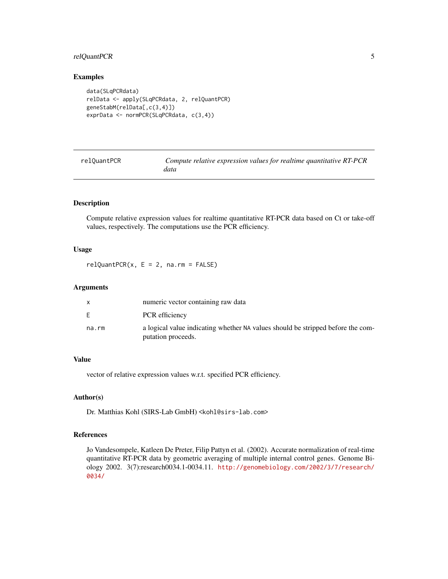#### <span id="page-4-0"></span>relQuantPCR 5

#### Examples

```
data(SLqPCRdata)
relData <- apply(SLqPCRdata, 2, relQuantPCR)
geneStabM(relData[,c(3,4)])
exprData <- normPCR(SLqPCRdata, c(3,4))
```

| relOuantPCR | Compute relative expression values for realtime quantitative RT-PCR |
|-------------|---------------------------------------------------------------------|
|             | data                                                                |

#### Description

Compute relative expression values for realtime quantitative RT-PCR data based on Ct or take-off values, respectively. The computations use the PCR efficiency.

#### Usage

 $relQuantPCR(x, E = 2, na.rm = FALSE)$ 

#### Arguments

|       | numeric vector containing raw data                                                                    |
|-------|-------------------------------------------------------------------------------------------------------|
| E.    | PCR efficiency                                                                                        |
| na.rm | a logical value indicating whether NA values should be stripped before the com-<br>putation proceeds. |

#### Value

vector of relative expression values w.r.t. specified PCR efficiency.

#### Author(s)

Dr. Matthias Kohl (SIRS-Lab GmbH) <kohl@sirs-lab.com>

#### References

Jo Vandesompele, Katleen De Preter, Filip Pattyn et al. (2002). Accurate normalization of real-time quantitative RT-PCR data by geometric averaging of multiple internal control genes. Genome Biology 2002. 3(7):research0034.1-0034.11. [http://genomebiology.com/2002/3/7/research/](http://genomebiology.com/2002/3/7/research/0034/) [0034/](http://genomebiology.com/2002/3/7/research/0034/)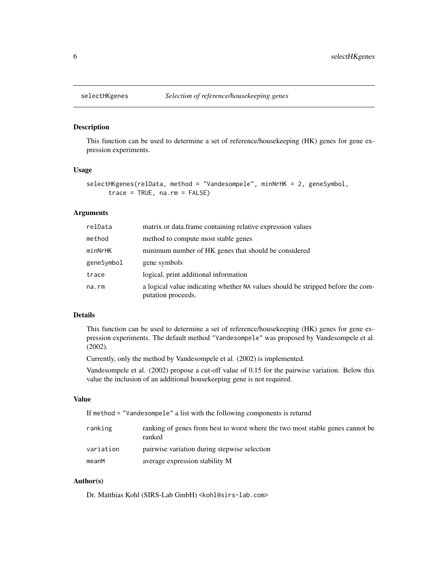<span id="page-5-0"></span>

#### Description

This function can be used to determine a set of reference/housekeeping (HK) genes for gene expression experiments.

#### Usage

```
selectHKgenes(relData, method = "Vandesompele", minNrHK = 2, geneSymbol,
     trace = TRUE, na.rm = FALSE)
```
#### Arguments

| relData    | matrix or data frame containing relative expression values                                            |
|------------|-------------------------------------------------------------------------------------------------------|
| method     | method to compute most stable genes                                                                   |
| minNrHK    | minimum number of HK genes that should be considered                                                  |
| geneSymbol | gene symbols                                                                                          |
| trace      | logical, print additional information                                                                 |
| na.rm      | a logical value indicating whether NA values should be stripped before the com-<br>putation proceeds. |

#### Details

This function can be used to determine a set of reference/housekeeping (HK) genes for gene expression experiments. The default method "Vandesompele" was proposed by Vandesompele et al. (2002).

Currently, only the method by Vandesompele et al. (2002) is implemented.

Vandesompele et al. (2002) propose a cut-off value of 0.15 for the pairwise variation. Below this value the inclusion of an additional housekeeping gene is not required.

#### Value

If method = "Vandesompele" a list with the following components is returnd

| ranking   | ranking of genes from best to worst where the two most stable genes cannot be<br>ranked |
|-----------|-----------------------------------------------------------------------------------------|
| variation | pairwise variation during stepwise selection                                            |
| meanM     | average expression stability M                                                          |

#### Author(s)

Dr. Matthias Kohl (SIRS-Lab GmbH) <kohl@sirs-lab.com>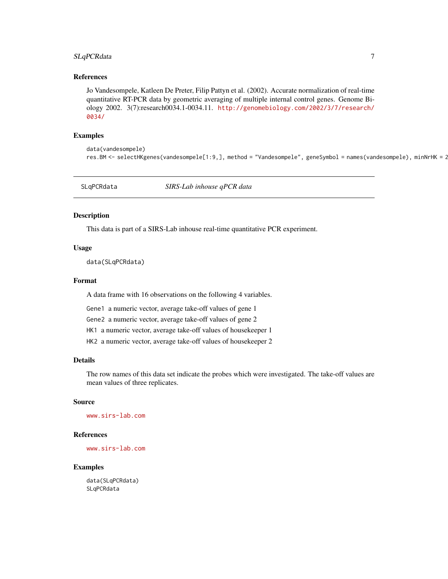#### <span id="page-6-0"></span>SLqPCRdata 7

#### References

Jo Vandesompele, Katleen De Preter, Filip Pattyn et al. (2002). Accurate normalization of real-time quantitative RT-PCR data by geometric averaging of multiple internal control genes. Genome Biology 2002. 3(7):research0034.1-0034.11. [http://genomebiology.com/2002/3/7/research/](http://genomebiology.com/2002/3/7/research/0034/) [0034/](http://genomebiology.com/2002/3/7/research/0034/)

#### Examples

data(vandesompele) res.BM <- selectHKgenes(vandesompele[1:9,], method = "Vandesompele", geneSymbol = names(vandesompele), minNrHK = 2

SLqPCRdata *SIRS-Lab inhouse qPCR data*

#### Description

This data is part of a SIRS-Lab inhouse real-time quantitative PCR experiment.

#### Usage

data(SLqPCRdata)

#### Format

A data frame with 16 observations on the following 4 variables.

Gene1 a numeric vector, average take-off values of gene 1

Gene2 a numeric vector, average take-off values of gene 2

HK1 a numeric vector, average take-off values of housekeeper 1

HK2 a numeric vector, average take-off values of housekeeper 2

#### Details

The row names of this data set indicate the probes which were investigated. The take-off values are mean values of three replicates.

#### Source

<www.sirs-lab.com>

#### References

<www.sirs-lab.com>

#### Examples

data(SLqPCRdata) SLqPCRdata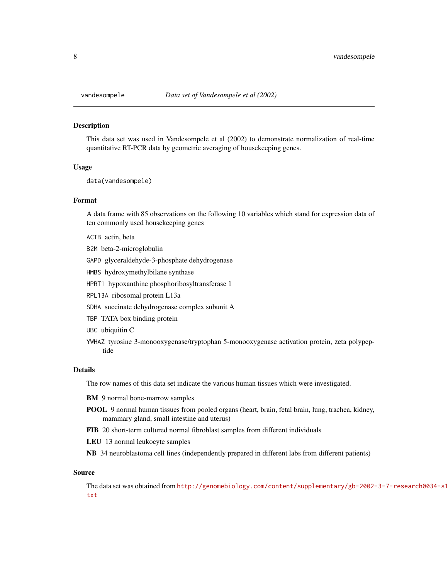<span id="page-7-0"></span>

#### Description

This data set was used in Vandesompele et al (2002) to demonstrate normalization of real-time quantitative RT-PCR data by geometric averaging of housekeeping genes.

#### Usage

data(vandesompele)

#### Format

A data frame with 85 observations on the following 10 variables which stand for expression data of ten commonly used housekeeping genes

ACTB actin, beta

B2M beta-2-microglobulin

GAPD glyceraldehyde-3-phosphate dehydrogenase

HMBS hydroxymethylbilane synthase

HPRT1 hypoxanthine phosphoribosyltransferase 1

RPL13A ribosomal protein L13a

SDHA succinate dehydrogenase complex subunit A

TBP TATA box binding protein

UBC ubiquitin C

YWHAZ tyrosine 3-monooxygenase/tryptophan 5-monooxygenase activation protein, zeta polypeptide

#### Details

The row names of this data set indicate the various human tissues which were investigated.

BM 9 normal bone-marrow samples

- POOL 9 normal human tissues from pooled organs (heart, brain, fetal brain, lung, trachea, kidney, mammary gland, small intestine and uterus)
- FIB 20 short-term cultured normal fibroblast samples from different individuals
- LEU 13 normal leukocyte samples

NB 34 neuroblastoma cell lines (independently prepared in different labs from different patients)

#### Source

The data set was obtained from [http://genomebiology.com/content/supplementary/gb-2002-](http://genomebiology.com/content/supplementary/gb-2002-3-7-research0034-s1.txt)3-7-research0034-s1. [txt](http://genomebiology.com/content/supplementary/gb-2002-3-7-research0034-s1.txt)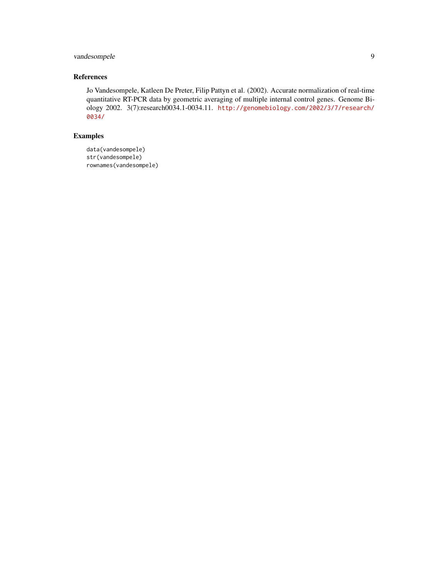#### vandesompele 9

#### References

Jo Vandesompele, Katleen De Preter, Filip Pattyn et al. (2002). Accurate normalization of real-time quantitative RT-PCR data by geometric averaging of multiple internal control genes. Genome Biology 2002. 3(7):research0034.1-0034.11. [http://genomebiology.com/2002/3/7/research/](http://genomebiology.com/2002/3/7/research/0034/) [0034/](http://genomebiology.com/2002/3/7/research/0034/)

#### Examples

data(vandesompele) str(vandesompele) rownames(vandesompele)